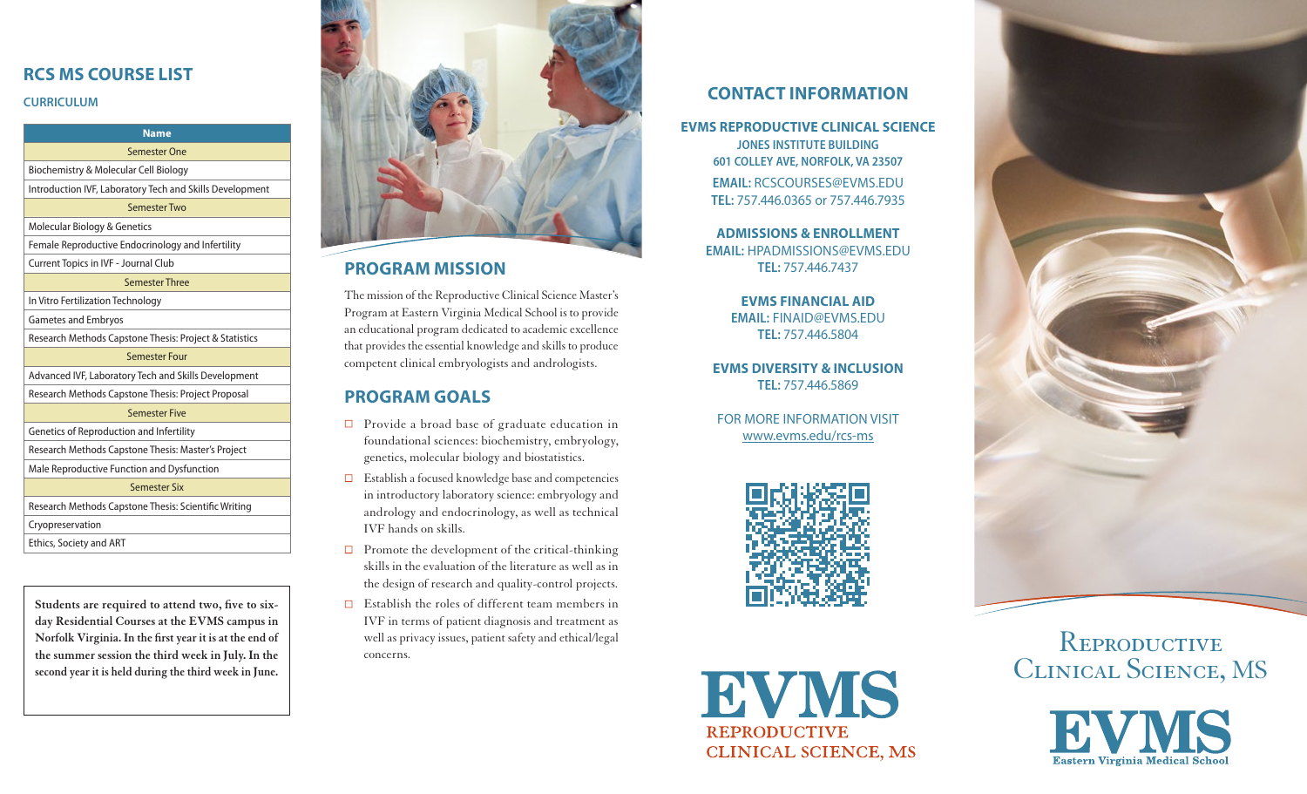# **RCS MS COURSE LIST**

### **CURRICULUM**

#### **Semester One**  e a Molecular Cell Biology & Molecular Cell Biology & Molecular Cell Biology & Molecular Cell Biology & Molecular C • Introduction IVF, Laboratory Tech and Skills Devel-Semester One **Name**

**Example 26**<br>Biochemistry & Molecular Cell Biology

**Semester Two** Introduction IVF, Laboratory Tech and Skills Development

#### • Female Reproductive Endocrinology and Infertility • Current Topics in IVF - Journal Club Semester Two

**Semester Three** Molecular Biology & Genetics

• In Vitro Fertilization Technology Female Reproductive Endocrinology and Infertility

#### Current Topics in IVF - Journal Club Statistics

Semester Three

**Semester Four** In Vitro Fertilization Technology

menta<br>tacipin Gametes and Embryos

Research Methods Capstone Thesis: Project & Statistics

#### Semester Four

 $\mathcal{L}_{\text{S}}$  and  $\mathcal{L}_{\text{S}}$  of  $\mathcal{L}_{\text{S}}$  and Infertility and Infertility and Infertility and Infertility and Infertility and Infertility and Infertility and Infertility and Infertility and Infertility and Infertil Advanced IVF, Laboratory Tech and Skills Development

### • Research Methods Capstone Thesis: Scientific Semester Five

 $irc$  of Re Genetics of Reproduction and Infertility<br>————————————————————

Research Methods Capstone Thesis: Master's Project

Male Reproductive Function and Dysfunction

Semester Six

Research Methods Capstone Thesis: Scientific Writing

Cryopreservation

Ethics, Society and ART

**Students are required to attend two, five to sixday Residential Courses at the EVMS campus in Norfolk Virginia. In the first year it is at the end of the summer session the third week in July. In the second year it is held during the third week in June.**



# **PROGRAM MISSION**

The mission of the Reproductive Clinical Science Master's Program at Eastern Virginia Medical School is to provide an educational program dedicated to academic excellence that provides the essential knowledge and skills to produce competent clinical embryologists and andrologists.

# **PROGRAM GOALS**

- $\Box$  Provide a broad base of graduate education in foundational sciences: biochemistry, embryology, genetics, molecular biology and biostatistics.
- $\Box$  Establish a focused knowledge base and competencies in introductory laboratory science: embryology and andrology and endocrinology, as well as technical IVF hands on skills.
- $\Box$  Promote the development of the critical-thinking skills in the evaluation of the literature as well as in the design of research and quality-control projects.
- $\Box$  Establish the roles of different team members in IVF in terms of patient diagnosis and treatment as well as privacy issues, patient safety and ethical/legal concerns.

# **CONTACT INFORMATION**

**EVMS REPRODUCTIVE CLINICAL SCIENCE JONES INSTITUTE BUILDING 601 COLLEY AVE, NORFOLK, VA 23507 EMAIL:** RCSCOURSES@EVMS.EDU **TEL:** 757.446.0365 or 757.446.7935

> **ADMISSIONS & ENROLLMENT EMAIL:** HPADMISSIONS@EVMS.EDU **TEL:** 757.446.7437

> > **EVMS FINANCIAL AID EMAIL:** FINAID@EVMS.EDU **TEL:** 757.446.5804

**EVMS DIVERSITY & INCLUSION TEL:** 757.446.5869

FOR MORE INFORMATION VISIT [www.evms.edu/rcs-ms](http://www.evms.edu/rcs-ms)







REPRODUCTIVE Clinical Science, MS